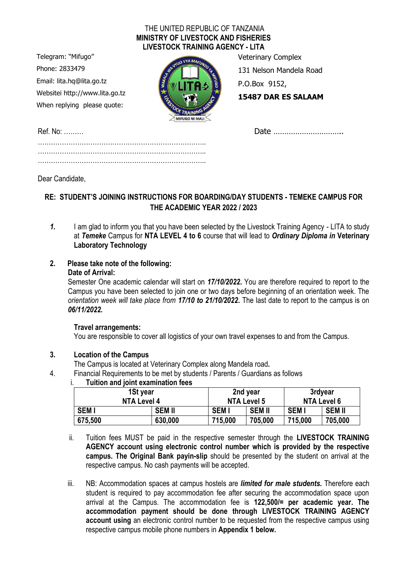#### THE UNITED REPUBLIC OF TANZANIA **MINISTRY OF LIVESTOCK AND FISHERIES LIVESTOCK TRAINING AGENCY - LITA**

Telegram: "Mifugo" Phone: 2833479 Email: lita.hq@lita.go.tz Websitei http://www.lita.go.tz When replying please quote:



Veterinary Complex

131 Nelson Mandela Road

P.O.Box 9152,

**15487 DAR ES SALAAM**

Ref. No: ……… Date ………………………….. …………………………………………………………………..

………………………………………………………………….. …………………………………………………………………..

Dear Candidate,

## **RE: STUDENT'S JOINING INSTRUCTIONS FOR BOARDING/DAY STUDENTS - TEMEKE CAMPUS FOR THE ACADEMIC YEAR 2022 / 2023**

1. I am glad to inform you that you have been selected by the Livestock Training Agency - LITA to study at *Temeke* Campus for **NTA LEVEL 4 to 6** course that will lead to *Ordinary Diploma in* **Veterinary Laboratory Technology**

# **2. Please take note of the following:**

#### **Date of Arrival:**

Semester One academic calendar will start on *17/10/2022.* You are therefore required to report to the Campus you have been selected to join one or two days before beginning of an orientation week. The *orientation week will take place from 17/10 to 21/10/2022.* The last date to report to the campus is on *06/11/2022.*

## **Travel arrangements:**

You are responsible to cover all logistics of your own travel expenses to and from the Campus.

## **3. Location of the Campus**

The Campus is located at Veterinary Complex along Mandela road*.*

4. Financial Requirements to be met by students / Parents / Guardians as follows

## i. **Tuition and joint examination fees**

| 1St year    |               |             | 2nd year           |             | 3rdyear       |  |
|-------------|---------------|-------------|--------------------|-------------|---------------|--|
| NTA Level 4 |               |             | <b>NTA Level 5</b> |             | NTA Level 6   |  |
| <b>SEMI</b> | <b>SEM II</b> | <b>SEMI</b> | <b>SEM II</b>      | <b>SEMI</b> | <b>SEM II</b> |  |
| 675,500     | 630,000       | 715.000     | 705,000            | 715.000     | 705,000       |  |

- ii. Tuition fees MUST be paid in the respective semester through the **LIVESTOCK TRAINING AGENCY account using electronic control number which is provided by the respective campus. The Original Bank payin-slip** should be presented by the student on arrival at the respective campus. No cash payments will be accepted.
- iii. NB: Accommodation spaces at campus hostels are *limited for male students.* Therefore each student is required to pay accommodation fee after securing the accommodation space upon arrival at the Campus. The accommodation fee is **122,500/= per academic year. The accommodation payment should be done through LIVESTOCK TRAINING AGENCY account using** an electronic control number to be requested from the respective campus using respective campus mobile phone numbers in **Appendix 1 below.**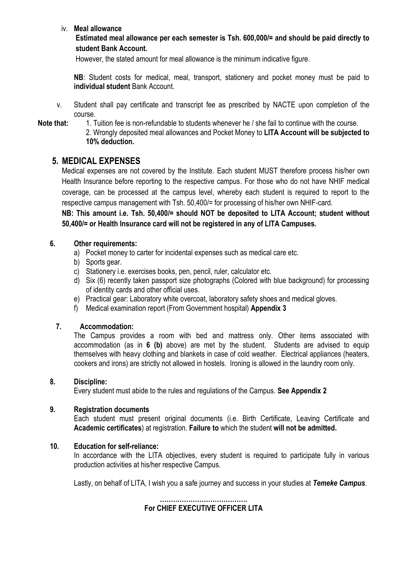#### iv. **Meal allowance**

**Estimated meal allowance per each semester is Tsh. 600,000/= and should be paid directly to student Bank Account.**

However, the stated amount for meal allowance is the minimum indicative figure.

**NB**: Student costs for medical, meal, transport, stationery and pocket money must be paid to **individual student** Bank Account.

v. Student shall pay certificate and transcript fee as prescribed by NACTE upon completion of the course.

**Note that:** 1. Tuition fee is non-refundable to students whenever he / she fail to continue with the course.

2. Wrongly deposited meal allowances and Pocket Money to **LITA Account will be subjected to 10% deduction.**

## **5. MEDICAL EXPENSES**

Medical expenses are not covered by the Institute. Each student MUST therefore process his/her own Health Insurance before reporting to the respective campus. For those who do not have NHIF medical coverage, can be processed at the campus level, whereby each student is required to report to the respective campus management with Tsh. 50,400/= for processing of his/her own NHIF-card.

**NB: This amount i.e. Tsh. 50,400/= should NOT be deposited to LITA Account; student without 50,400/= or Health Insurance card will not be registered in any of LITA Campuses.**

#### **6. Other requirements:**

- a) Pocket money to carter for incidental expenses such as medical care etc.
- b) Sports gear.
- c) Stationery i.e. exercises books, pen, pencil, ruler, calculator etc.
- d) Six (6) recently taken passport size photographs (Colored with blue background) for processing of identity cards and other official uses.
- e) Practical gear: Laboratory white overcoat, laboratory safety shoes and medical gloves.
- f) Medical examination report (From Government hospital) **Appendix 3**

#### **7. Accommodation:**

The Campus provides a room with bed and mattress only. Other items associated with accommodation (as in **6 (b)** above) are met by the student. Students are advised to equip themselves with heavy clothing and blankets in case of cold weather. Electrical appliances (heaters, cookers and irons) are strictly not allowed in hostels. Ironing is allowed in the laundry room only.

#### **8. Discipline:**

Every student must abide to the rules and regulations of the Campus. **See Appendix 2**

#### **9. Registration documents**

Each student must present original documents (i.e. Birth Certificate, Leaving Certificate and **Academic certificates**) at registration. **Failure to** which the student **will not be admitted.**

#### **10. Education for self-reliance:**

In accordance with the LITA objectives, every student is required to participate fully in various production activities at his/her respective Campus.

Lastly, on behalf of LITA, I wish you a safe journey and success in your studies at *Temeke Campus*.

**…………………………………. For CHIEF EXECUTIVE OFFICER LITA**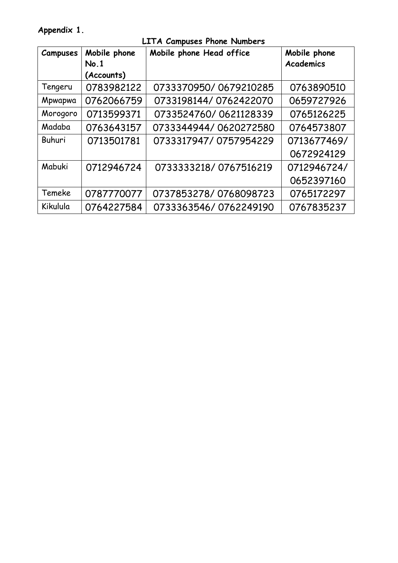**Appendix 1.** 

| <b>Campuses</b> | Mobile phone | Mobile phone Head office | Mobile phone     |
|-----------------|--------------|--------------------------|------------------|
|                 | No.1         |                          | <b>Academics</b> |
|                 | (Accounts)   |                          |                  |
| Tengeru         | 0783982122   | 0733370950/0679210285    | 0763890510       |
| Mpwapwa         | 0762066759   | 0733198144/0762422070    | 0659727926       |
| Morogoro        | 0713599371   | 0733524760/0621128339    | 0765126225       |
| Madaba          | 0763643157   | 0733344944/0620272580    | 0764573807       |
| Buhuri          | 0713501781   | 0733317947/0757954229    | 0713677469/      |
|                 |              |                          | 0672924129       |
| Mabuki          | 0712946724   | 0733333218/0767516219    | 0712946724/      |
|                 |              |                          | 0652397160       |
| Temeke          | 0787770077   | 0737853278/0768098723    | 0765172297       |
| Kikulula        | 0764227584   | 0733363546/0762249190    | 0767835237       |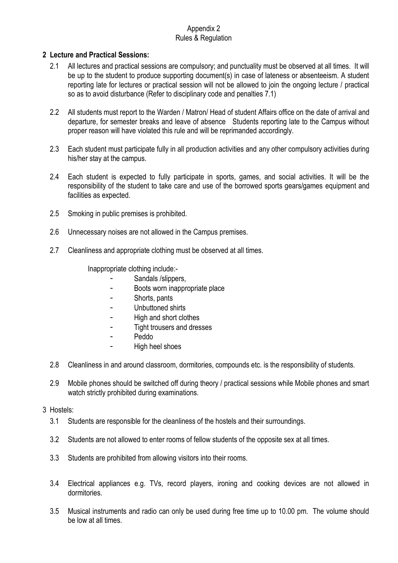#### Appendix 2 Rules & Regulation

#### **2 Lecture and Practical Sessions:**

- 2.1 All lectures and practical sessions are compulsory; and punctuality must be observed at all times. It will be up to the student to produce supporting document(s) in case of lateness or absenteeism. A student reporting late for lectures or practical session will not be allowed to join the ongoing lecture / practical so as to avoid disturbance (Refer to disciplinary code and penalties 7.1)
- 2.2 All students must report to the Warden / Matron/ Head of student Affairs office on the date of arrival and departure, for semester breaks and leave of absence Students reporting late to the Campus without proper reason will have violated this rule and will be reprimanded accordingly.
- 2.3 Each student must participate fully in all production activities and any other compulsory activities during his/her stay at the campus.
- 2.4 Each student is expected to fully participate in sports, games, and social activities. It will be the responsibility of the student to take care and use of the borrowed sports gears/games equipment and facilities as expected.
- 2.5 Smoking in public premises is prohibited.
- 2.6 Unnecessary noises are not allowed in the Campus premises.
- 2.7 Cleanliness and appropriate clothing must be observed at all times.

Inappropriate clothing include:-

- Sandals /slippers,
- Boots worn inappropriate place
- Shorts, pants
- Unbuttoned shirts
- High and short clothes
- Tight trousers and dresses
- Peddo
- High heel shoes
- 2.8 Cleanliness in and around classroom, dormitories, compounds etc. is the responsibility of students.
- 2.9 Mobile phones should be switched off during theory / practical sessions while Mobile phones and smart watch strictly prohibited during examinations.

#### 3 Hostels:

- 3.1 Students are responsible for the cleanliness of the hostels and their surroundings.
- 3.2 Students are not allowed to enter rooms of fellow students of the opposite sex at all times.
- 3.3 Students are prohibited from allowing visitors into their rooms.
- 3.4 Electrical appliances e.g. TVs, record players, ironing and cooking devices are not allowed in dormitories.
- 3.5 Musical instruments and radio can only be used during free time up to 10.00 pm. The volume should be low at all times.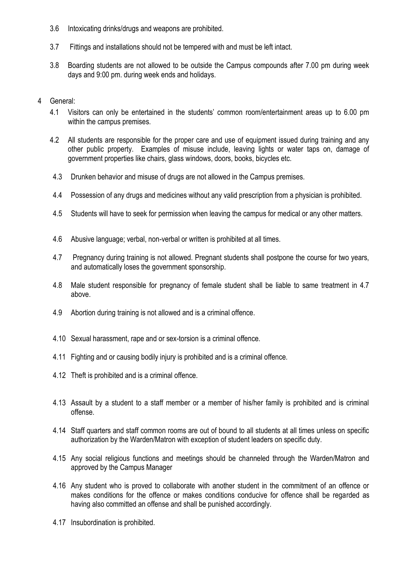- 3.6 Intoxicating drinks/drugs and weapons are prohibited.
- 3.7 Fittings and installations should not be tempered with and must be left intact.
- 3.8 Boarding students are not allowed to be outside the Campus compounds after 7.00 pm during week days and 9:00 pm. during week ends and holidays.
- 4 General:
	- 4.1 Visitors can only be entertained in the students' common room/entertainment areas up to 6.00 pm within the campus premises.
	- 4.2 All students are responsible for the proper care and use of equipment issued during training and any other public property. Examples of misuse include, leaving lights or water taps on, damage of government properties like chairs, glass windows, doors, books, bicycles etc.
	- 4.3 Drunken behavior and misuse of drugs are not allowed in the Campus premises.
	- 4.4 Possession of any drugs and medicines without any valid prescription from a physician is prohibited.
	- 4.5 Students will have to seek for permission when leaving the campus for medical or any other matters.
	- 4.6 Abusive language; verbal, non-verbal or written is prohibited at all times.
	- 4.7 Pregnancy during training is not allowed. Pregnant students shall postpone the course for two years, and automatically loses the government sponsorship.
	- 4.8 Male student responsible for pregnancy of female student shall be liable to same treatment in 4.7 above.
	- 4.9 Abortion during training is not allowed and is a criminal offence.
	- 4.10 Sexual harassment, rape and or sex-torsion is a criminal offence.
	- 4.11 Fighting and or causing bodily injury is prohibited and is a criminal offence.
	- 4.12 Theft is prohibited and is a criminal offence.
	- 4.13 Assault by a student to a staff member or a member of his/her family is prohibited and is criminal offense.
	- 4.14 Staff quarters and staff common rooms are out of bound to all students at all times unless on specific authorization by the Warden/Matron with exception of student leaders on specific duty.
	- 4.15 Any social religious functions and meetings should be channeled through the Warden/Matron and approved by the Campus Manager
	- 4.16 Any student who is proved to collaborate with another student in the commitment of an offence or makes conditions for the offence or makes conditions conducive for offence shall be regarded as having also committed an offense and shall be punished accordingly.
	- 4.17 Insubordination is prohibited.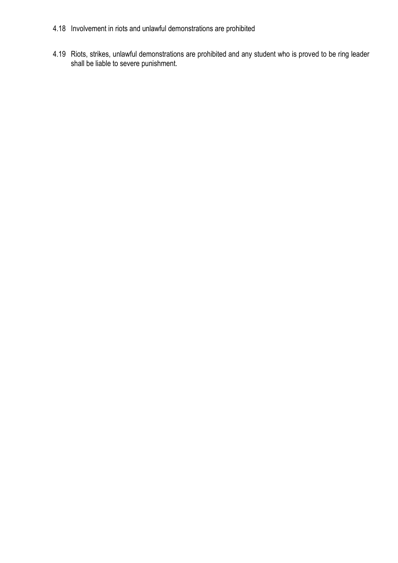- 4.18 Involvement in riots and unlawful demonstrations are prohibited
- 4.19 Riots, strikes, unlawful demonstrations are prohibited and any student who is proved to be ring leader shall be liable to severe punishment.